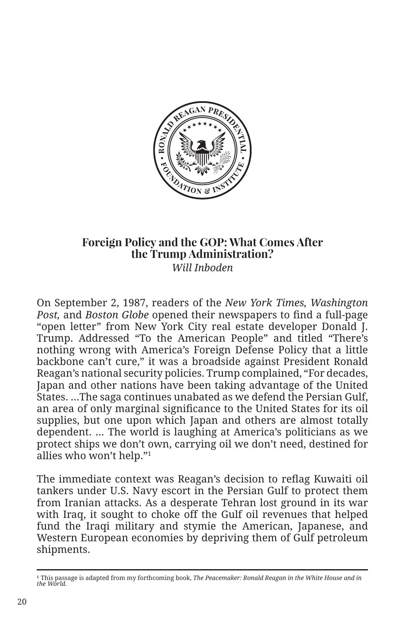

## **Foreign Policy and the GOP: What Comes After the Trump Administration?**  *Will Inboden*

On September 2, 1987, readers of the *New York Times, Washington Post,* and *Boston Globe* opened their newspapers to find a full-page "open letter" from New York City real estate developer Donald J. Trump. Addressed "To the American People" and titled "There's nothing wrong with America's Foreign Defense Policy that a little backbone can't cure," it was a broadside against President Ronald Reagan's national security policies. Trump complained, "For decades, Japan and other nations have been taking advantage of the United States. …The saga continues unabated as we defend the Persian Gulf, an area of only marginal significance to the United States for its oil supplies, but one upon which Japan and others are almost totally dependent. … The world is laughing at America's politicians as we protect ships we don't own, carrying oil we don't need, destined for allies who won't help."1

The immediate context was Reagan's decision to reflag Kuwaiti oil tankers under U.S. Navy escort in the Persian Gulf to protect them from Iranian attacks. As a desperate Tehran lost ground in its war with Iraq, it sought to choke off the Gulf oil revenues that helped fund the Iraqi military and stymie the American, Japanese, and Western European economies by depriving them of Gulf petroleum shipments.

<sup>&</sup>lt;sup>1</sup> This passage is adapted from my forthcoming book, *The Peacemaker: Ronald Reagan in the White House and in the World*.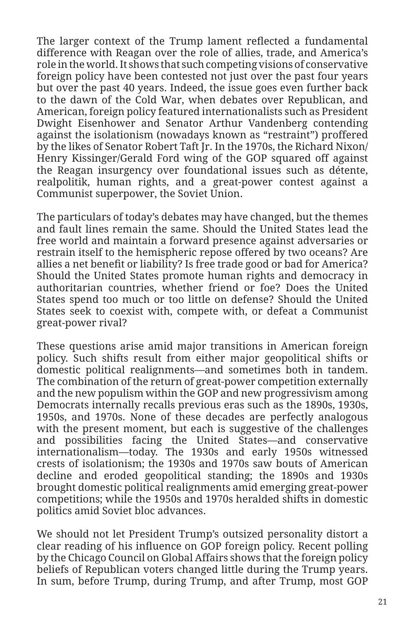The larger context of the Trump lament reflected a fundamental difference with Reagan over the role of allies, trade, and America's role in the world. It shows that such competing visions of conservative foreign policy have been contested not just over the past four years but over the past 40 years. Indeed, the issue goes even further back to the dawn of the Cold War, when debates over Republican, and American, foreign policy featured internationalists such as President Dwight Eisenhower and Senator Arthur Vandenberg contending against the isolationism (nowadays known as "restraint") proffered by the likes of Senator Robert Taft Jr. In the 1970s, the Richard Nixon/ Henry Kissinger/Gerald Ford wing of the GOP squared off against the Reagan insurgency over foundational issues such as détente, realpolitik, human rights, and a great-power contest against a Communist superpower, the Soviet Union.

The particulars of today's debates may have changed, but the themes and fault lines remain the same. Should the United States lead the free world and maintain a forward presence against adversaries or restrain itself to the hemispheric repose offered by two oceans? Are allies a net benefit or liability? Is free trade good or bad for America? Should the United States promote human rights and democracy in authoritarian countries, whether friend or foe? Does the United States spend too much or too little on defense? Should the United States seek to coexist with, compete with, or defeat a Communist great-power rival?

These questions arise amid major transitions in American foreign policy. Such shifts result from either major geopolitical shifts or domestic political realignments—and sometimes both in tandem. The combination of the return of great-power competition externally and the new populism within the GOP and new progressivism among Democrats internally recalls previous eras such as the 1890s, 1930s, 1950s, and 1970s. None of these decades are perfectly analogous with the present moment, but each is suggestive of the challenges and possibilities facing the United States—and conservative internationalism—today. The 1930s and early 1950s witnessed crests of isolationism; the 1930s and 1970s saw bouts of American decline and eroded geopolitical standing; the 1890s and 1930s brought domestic political realignments amid emerging great-power competitions; while the 1950s and 1970s heralded shifts in domestic politics amid Soviet bloc advances.

We should not let President Trump's outsized personality distort a clear reading of his influence on GOP foreign policy. Recent polling by the Chicago Council on Global Affairs shows that the foreign policy beliefs of Republican voters changed little during the Trump years. In sum, before Trump, during Trump, and after Trump, most GOP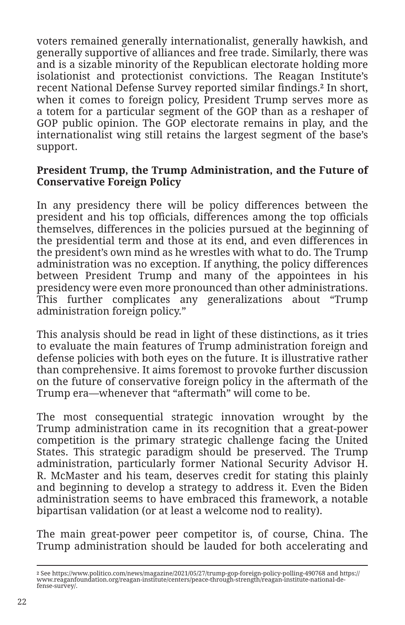voters remained generally internationalist, generally hawkish, and generally supportive of alliances and free trade. Similarly, there was and is a sizable minority of the Republican electorate holding more isolationist and protectionist convictions. The Reagan Institute's recent National Defense Survey reported similar findings.**2** In short, when it comes to foreign policy, President Trump serves more as a totem for a particular segment of the GOP than as a reshaper of GOP public opinion. The GOP electorate remains in play, and the internationalist wing still retains the largest segment of the base's support.

## **President Trump, the Trump Administration, and the Future of Conservative Foreign Policy**

In any presidency there will be policy differences between the president and his top officials, differences among the top officials themselves, differences in the policies pursued at the beginning of the presidential term and those at its end, and even differences in the president's own mind as he wrestles with what to do. The Trump administration was no exception. If anything, the policy differences between President Trump and many of the appointees in his presidency were even more pronounced than other administrations. This further complicates any generalizations about "Trump administration foreign policy."

This analysis should be read in light of these distinctions, as it tries to evaluate the main features of Trump administration foreign and defense policies with both eyes on the future. It is illustrative rather than comprehensive. It aims foremost to provoke further discussion on the future of conservative foreign policy in the aftermath of the Trump era—whenever that "aftermath" will come to be.

The most consequential strategic innovation wrought by the Trump administration came in its recognition that a great-power competition is the primary strategic challenge facing the United States. This strategic paradigm should be preserved. The Trump administration, particularly former National Security Advisor H. R. McMaster and his team, deserves credit for stating this plainly and beginning to develop a strategy to address it. Even the Biden administration seems to have embraced this framework, a notable bipartisan validation (or at least a welcome nod to reality).

The main great-power peer competitor is, of course, China. The Trump administration should be lauded for both accelerating and

**<sup>2</sup>** See https://www.politico.com/news/magazine/2021/05/27/trump-gop-foreign-policy-polling-490768 and https:// www.reaganfoundation.org/reagan-institute/centers/peace-through-strength/reagan-institute-national-defense-survey/.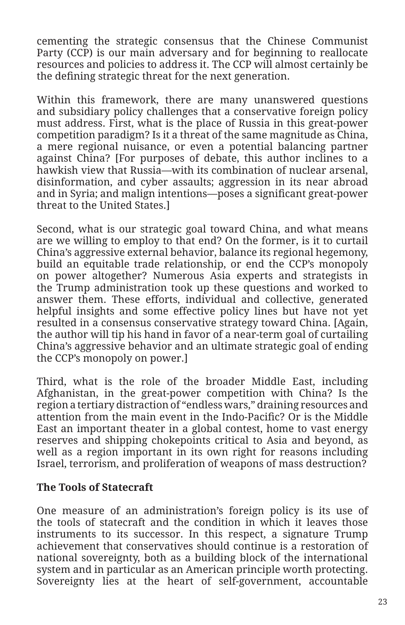cementing the strategic consensus that the Chinese Communist Party (CCP) is our main adversary and for beginning to reallocate resources and policies to address it. The CCP will almost certainly be the defining strategic threat for the next generation.

Within this framework, there are many unanswered questions and subsidiary policy challenges that a conservative foreign policy must address. First, what is the place of Russia in this great-power competition paradigm? Is it a threat of the same magnitude as China, a mere regional nuisance, or even a potential balancing partner against China? [For purposes of debate, this author inclines to a hawkish view that Russia—with its combination of nuclear arsenal, disinformation, and cyber assaults; aggression in its near abroad and in Syria; and malign intentions—poses a significant great-power threat to the United States.]

Second, what is our strategic goal toward China, and what means are we willing to employ to that end? On the former, is it to curtail China's aggressive external behavior, balance its regional hegemony, build an equitable trade relationship, or end the CCP's monopoly on power altogether? Numerous Asia experts and strategists in the Trump administration took up these questions and worked to answer them. These efforts, individual and collective, generated helpful insights and some effective policy lines but have not yet resulted in a consensus conservative strategy toward China. [Again, the author will tip his hand in favor of a near-term goal of curtailing China's aggressive behavior and an ultimate strategic goal of ending the CCP's monopoly on power.]

Third, what is the role of the broader Middle East, including Afghanistan, in the great-power competition with China? Is the region a tertiary distraction of "endless wars," draining resources and attention from the main event in the Indo-Pacific? Or is the Middle East an important theater in a global contest, home to vast energy reserves and shipping chokepoints critical to Asia and beyond, as well as a region important in its own right for reasons including Israel, terrorism, and proliferation of weapons of mass destruction?

## **The Tools of Statecraft**

One measure of an administration's foreign policy is its use of the tools of statecraft and the condition in which it leaves those instruments to its successor. In this respect, a signature Trump achievement that conservatives should continue is a restoration of national sovereignty, both as a building block of the international system and in particular as an American principle worth protecting. Sovereignty lies at the heart of self-government, accountable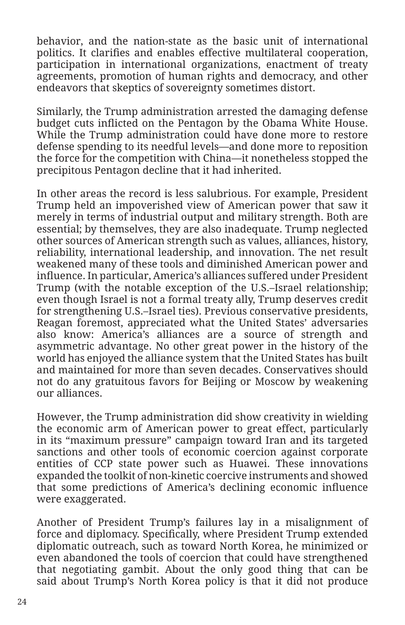behavior, and the nation-state as the basic unit of international politics. It clarifies and enables effective multilateral cooperation, participation in international organizations, enactment of treaty agreements, promotion of human rights and democracy, and other endeavors that skeptics of sovereignty sometimes distort.

Similarly, the Trump administration arrested the damaging defense budget cuts inflicted on the Pentagon by the Obama White House. While the Trump administration could have done more to restore defense spending to its needful levels—and done more to reposition the force for the competition with China—it nonetheless stopped the precipitous Pentagon decline that it had inherited.

In other areas the record is less salubrious. For example, President Trump held an impoverished view of American power that saw it merely in terms of industrial output and military strength. Both are essential; by themselves, they are also inadequate. Trump neglected other sources of American strength such as values, alliances, history, reliability, international leadership, and innovation. The net result weakened many of these tools and diminished American power and influence. In particular, America's alliances suffered under President Trump (with the notable exception of the U.S.–Israel relationship; even though Israel is not a formal treaty ally, Trump deserves credit for strengthening U.S.–Israel ties). Previous conservative presidents, Reagan foremost, appreciated what the United States' adversaries also know: America's alliances are a source of strength and asymmetric advantage. No other great power in the history of the world has enjoyed the alliance system that the United States has built and maintained for more than seven decades. Conservatives should not do any gratuitous favors for Beijing or Moscow by weakening our alliances.

However, the Trump administration did show creativity in wielding the economic arm of American power to great effect, particularly in its "maximum pressure" campaign toward Iran and its targeted sanctions and other tools of economic coercion against corporate entities of CCP state power such as Huawei. These innovations expanded the toolkit of non-kinetic coercive instruments and showed that some predictions of America's declining economic influence were exaggerated.

Another of President Trump's failures lay in a misalignment of force and diplomacy. Specifically, where President Trump extended diplomatic outreach, such as toward North Korea, he minimized or even abandoned the tools of coercion that could have strengthened that negotiating gambit. About the only good thing that can be said about Trump's North Korea policy is that it did not produce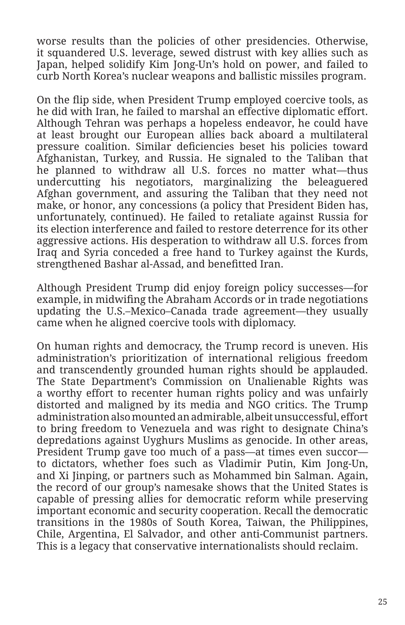worse results than the policies of other presidencies. Otherwise, it squandered U.S. leverage, sewed distrust with key allies such as Japan, helped solidify Kim Jong-Un's hold on power, and failed to curb North Korea's nuclear weapons and ballistic missiles program.

On the flip side, when President Trump employed coercive tools, as he did with Iran, he failed to marshal an effective diplomatic effort. Although Tehran was perhaps a hopeless endeavor, he could have at least brought our European allies back aboard a multilateral pressure coalition. Similar deficiencies beset his policies toward Afghanistan, Turkey, and Russia. He signaled to the Taliban that he planned to withdraw all U.S. forces no matter what—thus undercutting his negotiators, marginalizing the beleaguered Afghan government, and assuring the Taliban that they need not make, or honor, any concessions (a policy that President Biden has, unfortunately, continued). He failed to retaliate against Russia for its election interference and failed to restore deterrence for its other aggressive actions. His desperation to withdraw all U.S. forces from Iraq and Syria conceded a free hand to Turkey against the Kurds, strengthened Bashar al-Assad, and benefitted Iran.

Although President Trump did enjoy foreign policy successes—for example, in midwifing the Abraham Accords or in trade negotiations updating the U.S.–Mexico–Canada trade agreement—they usually came when he aligned coercive tools with diplomacy.

On human rights and democracy, the Trump record is uneven. His administration's prioritization of international religious freedom and transcendently grounded human rights should be applauded. The State Department's Commission on Unalienable Rights was a worthy effort to recenter human rights policy and was unfairly distorted and maligned by its media and NGO critics. The Trump administration also mounted an admirable, albeit unsuccessful, effort to bring freedom to Venezuela and was right to designate China's depredations against Uyghurs Muslims as genocide. In other areas, President Trump gave too much of a pass—at times even succor to dictators, whether foes such as Vladimir Putin, Kim Jong-Un, and Xi Jinping, or partners such as Mohammed bin Salman. Again, the record of our group's namesake shows that the United States is capable of pressing allies for democratic reform while preserving important economic and security cooperation. Recall the democratic transitions in the 1980s of South Korea, Taiwan, the Philippines, Chile, Argentina, El Salvador, and other anti-Communist partners. This is a legacy that conservative internationalists should reclaim.